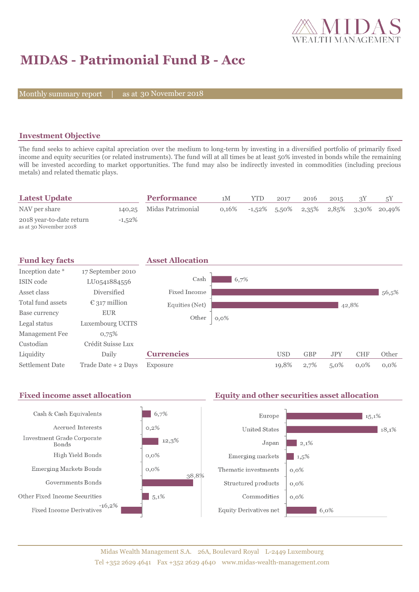

# **MIDAS - Patrimonial Fund B - Acc**

Monthly summary report | as at 30 November 2018

### **Investment Objective**

The fund seeks to achieve capital apreciation over the medium to long-term by investing in a diversified portfolio of primarily fixed income and equity securities (or related instruments). The fund will at all times be at least 50% invested in bonds while the remaining will be invested according to market opportunities. The fund may also be indirectly invested in commodities (including precious metals) and related thematic plays.

| <b>Latest Update</b>                               |           | <b>Performance</b>       | 1M       | <b>YTD</b> | 2017 | 2016 | 2015 |                                               |
|----------------------------------------------------|-----------|--------------------------|----------|------------|------|------|------|-----------------------------------------------|
| NAV per share                                      |           | 140,25 Midas Patrimonial | $0.16\%$ |            |      |      |      | $-1,52\%$ 5.50\% 2,35\% 2,85\% 3,30\% 20,49\% |
| 2018 year-to-date return<br>as at 30 November 2018 | $-1,52\%$ |                          |          |            |      |      |      |                                               |



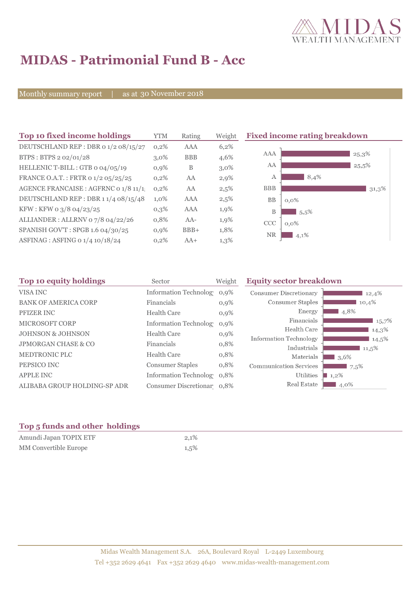

# **MIDAS - Patrimonial Fund B - Acc**

Monthly summary report | as at 30 November 2018

| Top 10 fixed income holdings          | <b>YTM</b> | Rating     | Weight  | <b>Fixed income rating breakdown</b> |
|---------------------------------------|------------|------------|---------|--------------------------------------|
| DEUTSCHLAND REP : DBR 0 1/2 08/15/27  | 0,2%       | <b>AAA</b> | 6,2%    |                                      |
| BTPS: BTPS 2 02/01/28                 | $3.0\%$    | <b>BBB</b> | 4,6%    | AAA<br>25,3%                         |
| HELLENIC T-BILL : GTB 0 04/05/19      | $0,9\%$    | B          | $3,0\%$ | AA<br>25,5%                          |
| FRANCE O.A.T.: FRTR 0 1/2 05/25/25    | $0,2\%$    | AA         | 2,9%    | 8,4%<br>A                            |
| AGENCE FRANCAISE : AGFRNC 0 1/8 11/1! | $0,2\%$    | AA         | 2,5%    | <b>BBB</b><br>31,3%                  |
| DEUTSCHLAND REP: DBR 1 1/4 08/15/48   | $1,0\%$    | AAA        | $2,5\%$ | <b>BB</b><br>$0,0\%$                 |
| KFW : KFW 0 3/8 04/23/25              | $0,3\%$    | AAA        | 1,9%    | B<br>5.5%                            |
| ALLIANDER: ALLRNV 07/8 04/22/26       | 0,8%       | AA-        | 1,9%    | <b>CCC</b><br>$0,0\%$                |
| SPANISH GOV'T: SPGB 1.6 04/30/25      | $0,9\%$    | $BBB+$     | 1,8%    | <b>NR</b><br>4,1%                    |
| ASFINAG : ASFING 0 1/4 10/18/24       | 0,2%       | $AA+$      | $1,3\%$ |                                      |

| Top 10 equity holdings         | Sector                        | Weight  | <b>Equity sector breakdown</b> |             |
|--------------------------------|-------------------------------|---------|--------------------------------|-------------|
| VISA INC                       | <b>Information Technology</b> | $0.9\%$ | Consumer Discretionary         | 12,4%       |
| <b>BANK OF AMERICA CORP</b>    | Financials                    | $0,9\%$ | Consumer Staples               | 10,4%       |
| PFIZER INC                     | <b>Health Care</b>            | 0,9%    | Energy                         | 4,8%        |
| <b>MICROSOFT CORP</b>          | <b>Information Technolog</b>  | 0.9%    | Financials                     | 15,7%       |
| <b>JOHNSON &amp; JOHNSON</b>   | <b>Health Care</b>            | $0,9\%$ | Health Care                    | $14,3\%$    |
|                                |                               |         | Information Technology         | $14,5\%$    |
| <b>JPMORGAN CHASE &amp; CO</b> | Financials                    | 0,8%    | Industrials                    | $11,5\%$    |
| <b>MEDTRONIC PLC</b>           | <b>Health Care</b>            | 0,8%    | Materials                      | $\Box$ 3.6% |
| PEPSICO INC                    | <b>Consumer Staples</b>       | 0,8%    | <b>Communication Services</b>  | 7.5%        |
| <b>APPLE INC</b>               | Information Technolog 0,8%    |         | <b>Utilities</b>               | $1,2\%$     |
| ALIBABA GROUP HOLDING-SP ADR   | Consumer Discretionar 0,8%    |         | Real Estate                    | $4,0\%$     |

### **Top 5 funds and other holdings**

| Amundi Japan TOPIX ETF | 2,1%    |
|------------------------|---------|
| MM Convertible Europe  | $1,5\%$ |